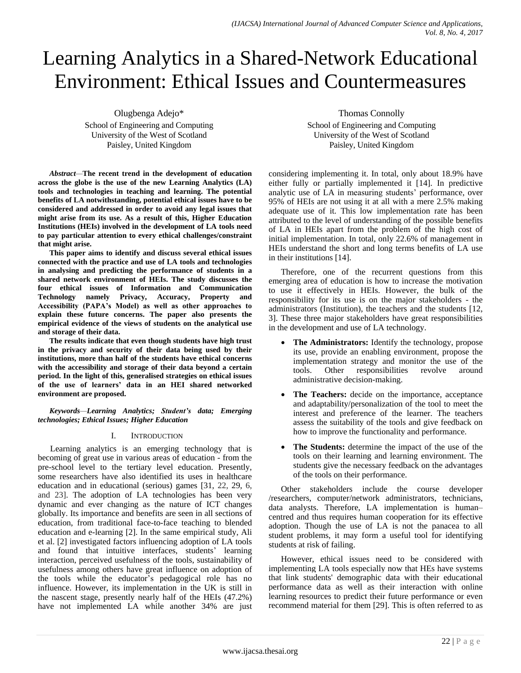# Learning Analytics in a Shared-Network Educational Environment: Ethical Issues and Countermeasures

Olugbenga Adejo\* School of Engineering and Computing University of the West of Scotland Paisley, United Kingdom

*Abstract—***The recent trend in the development of education across the globe is the use of the new Learning Analytics (LA) tools and technologies in teaching and learning. The potential benefits of LA notwithstanding, potential ethical issues have to be considered and addressed in order to avoid any legal issues that might arise from its use. As a result of this, Higher Education Institutions (HEIs) involved in the development of LA tools need to pay particular attention to every ethical challenges/constraint that might arise.**

**This paper aims to identify and discuss several ethical issues connected with the practice and use of LA tools and technologies in analysing and predicting the performance of students in a shared network environment of HEIs. The study discusses the four ethical issues of Information and Communication Technology namely Privacy, Accuracy, Property and Accessibility (PAPA's Model) as well as other approaches to explain these future concerns. The paper also presents the empirical evidence of the views of students on the analytical use and storage of their data.**

**The results indicate that even though students have high trust in the privacy and security of their data being used by their institutions, more than half of the students have ethical concerns with the accessibility and storage of their data beyond a certain period. In the light of this, generalised strategies on ethical issues of the use of learners' data in an HEI shared networked environment are proposed.**

*Keywords—Learning Analytics; Student's data; Emerging technologies; Ethical Issues; Higher Education*

# I. INTRODUCTION

Learning analytics is an emerging technology that is becoming of great use in various areas of education - from the pre-school level to the tertiary level education. Presently, some researchers have also identified its uses in healthcare education and in educational (serious) games [31, 22, 29, 6, and 23]. The adoption of LA technologies has been very dynamic and ever changing as the nature of ICT changes globally. Its importance and benefits are seen in all sections of education, from traditional face-to-face teaching to blended education and e-learning [2]. In the same empirical study, Ali et al. [2] investigated factors influencing adoption of LA tools and found that intuitive interfaces, students' learning interaction, perceived usefulness of the tools, sustainability of usefulness among others have great influence on adoption of the tools while the educator"s pedagogical role has no influence. However, its implementation in the UK is still in the nascent stage, presently nearly half of the HEIs (47.2%) have not implemented LA while another 34% are just

Thomas Connolly School of Engineering and Computing University of the West of Scotland Paisley, United Kingdom

considering implementing it. In total, only about 18.9% have either fully or partially implemented it [14]. In predictive analytic use of LA in measuring students' performance, over 95% of HEIs are not using it at all with a mere 2.5% making adequate use of it. This low implementation rate has been attributed to the level of understanding of the possible benefits of LA in HEIs apart from the problem of the high cost of initial implementation. In total, only 22.6% of management in HEIs understand the short and long terms benefits of LA use in their institutions [14].

Therefore, one of the recurrent questions from this emerging area of education is how to increase the motivation to use it effectively in HEIs. However, the bulk of the responsibility for its use is on the major stakeholders - the administrators (Institution), the teachers and the students [12, 3]. These three major stakeholders have great responsibilities in the development and use of LA technology.

- The Administrators: Identify the technology, propose its use, provide an enabling environment, propose the implementation strategy and monitor the use of the tools. Other responsibilities revolve around administrative decision-making.
- **The Teachers:** decide on the importance, acceptance and adaptability/personalization of the tool to meet the interest and preference of the learner. The teachers assess the suitability of the tools and give feedback on how to improve the functionality and performance.
- **The Students:** determine the impact of the use of the tools on their learning and learning environment. The students give the necessary feedback on the advantages of the tools on their performance.

Other stakeholders include the course developer /researchers, computer/network administrators, technicians, data analysts. Therefore, LA implementation is human– centred and thus requires human cooperation for its effective adoption. Though the use of LA is not the panacea to all student problems, it may form a useful tool for identifying students at risk of failing.

However, ethical issues need to be considered with implementing LA tools especially now that HEs have systems that link students' demographic data with their educational performance data as well as their interaction with online learning resources to predict their future performance or even recommend material for them [29]. This is often referred to as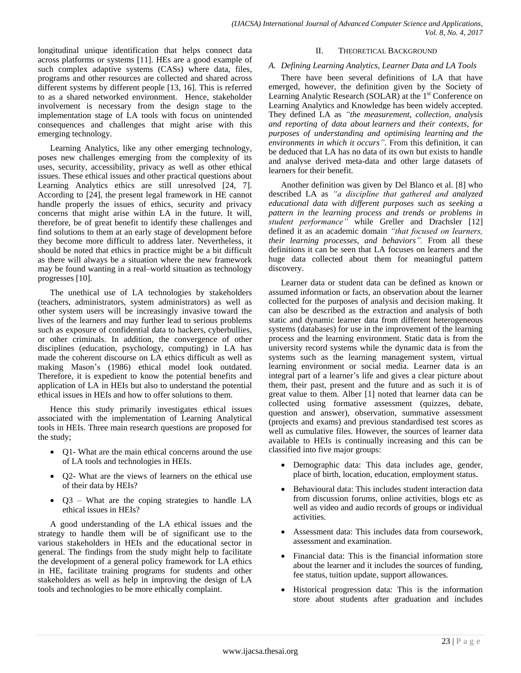longitudinal unique identification that helps connect data across platforms or systems [11]. HEs are a good example of such complex adaptive systems (CASs) where data, files, programs and other resources are collected and shared across different systems by different people [13, 16]. This is referred to as a shared networked environment. Hence, stakeholder involvement is necessary from the design stage to the implementation stage of LA tools with focus on unintended consequences and challenges that might arise with this emerging technology.

Learning Analytics, like any other emerging technology, poses new challenges emerging from the complexity of its uses, security, accessibility, privacy as well as other ethical issues. These ethical issues and other practical questions about Learning Analytics ethics are still unresolved [24, 7]. According to [24], the present legal framework in HE cannot handle properly the issues of ethics, security and privacy concerns that might arise within LA in the future. It will, therefore, be of great benefit to identify these challenges and find solutions to them at an early stage of development before they become more difficult to address later. Nevertheless, it should be noted that ethics in practice might be a bit difficult as there will always be a situation where the new framework may be found wanting in a real–world situation as technology progresses [10].

The unethical use of LA technologies by stakeholders (teachers, administrators, system administrators) as well as other system users will be increasingly invasive toward the lives of the learners and may further lead to serious problems such as exposure of confidential data to hackers, cyberbullies, or other criminals. In addition, the convergence of other disciplines (education, psychology, computing) in LA has made the coherent discourse on LA ethics difficult as well as making Mason"s (1986) ethical model look outdated. Therefore, it is expedient to know the potential benefits and application of LA in HEIs but also to understand the potential ethical issues in HEIs and how to offer solutions to them.

Hence this study primarily investigates ethical issues associated with the implementation of Learning Analytical tools in HEIs. Three main research questions are proposed for the study;

- Q1- What are the main ethical concerns around the use of LA tools and technologies in HEIs.
- Q2- What are the views of learners on the ethical use of their data by HEIs?
- Q3 What are the coping strategies to handle LA ethical issues in HEIs?

A good understanding of the LA ethical issues and the strategy to handle them will be of significant use to the various stakeholders in HEIs and the educational sector in general. The findings from the study might help to facilitate the development of a general policy framework for LA ethics in HE, facilitate training programs for students and other stakeholders as well as help in improving the design of LA tools and technologies to be more ethically complaint.

## II. THEORETICAL BACKGROUND

## *A. Defining Learning Analytics, Learner Data and LA Tools*

There have been several definitions of LA that have emerged, however, the definition given by the Society of Learning Analytic Research (SOLAR) at the  $1<sup>st</sup>$  Conference on Learning Analytics and Knowledge has been widely accepted. They defined LA as *"the measurement, collection, analysis and reporting of data about learners and their contexts, for purposes of understanding and optimising learning and the*  environments in which it occurs". From this definition, it can be deduced that LA has no data of its own but exists to handle and analyse derived meta-data and other large datasets of learners for their benefit.

Another definition was given by Del Blanco et al. [8] who described LA as "a discipline that gathered and analyzed *educational data with different purposes such as seeking a pattern in the learning process and trends or problems in student performance*" while Greller and Drachsler [12] defined it as an academic domain *"that focused on learners, their learning processes, and behaviors‖.* From all these definitions it can be seen that LA focuses on learners and the huge data collected about them for meaningful pattern discovery.

Learner data or student data can be defined as known or assumed information or facts, an observation about the learner collected for the purposes of analysis and decision making. It can also be described as the extraction and analysis of both static and dynamic learner data from different heterogeneous systems (databases) for use in the improvement of the learning process and the learning environment. Static data is from the university record systems while the dynamic data is from the systems such as the learning management system, virtual learning environment or social media. Learner data is an integral part of a learner"s life and gives a clear picture about them, their past, present and the future and as such it is of great value to them. Alber [1] noted that learner data can be collected using formative assessment (quizzes, debate, question and answer), observation, summative assessment (projects and exams) and previous standardised test scores as well as cumulative files. However, the sources of learner data available to HEIs is continually increasing and this can be classified into five major groups:

- Demographic data: This data includes age, gender, place of birth, location, education, employment status.
- Behavioural data: This includes student interaction data from discussion forums, online activities, blogs etc as well as video and audio records of groups or individual activities.
- Assessment data: This includes data from coursework, assessment and examination.
- Financial data: This is the financial information store about the learner and it includes the sources of funding, fee status, tuition update, support allowances.
- Historical progression data: This is the information store about students after graduation and includes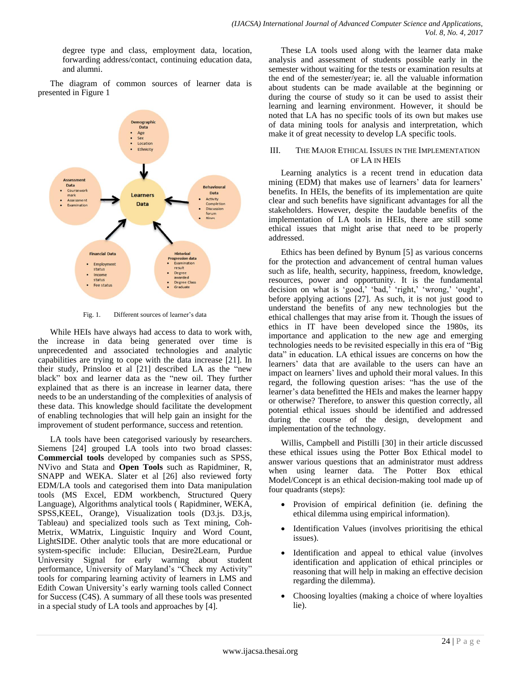degree type and class, employment data, location, forwarding address/contact, continuing education data, and alumni.

The diagram of common sources of learner data is presented in Figure 1



Fig. 1. Different sources of learner's data

While HEIs have always had access to data to work with, the increase in data being generated over time is unprecedented and associated technologies and analytic capabilities are trying to cope with the data increase [21]. In their study, Prinsloo et al [21] described LA as the "new black" box and learner data as the "new oil. They further explained that as there is an increase in learner data, there needs to be an understanding of the complexities of analysis of these data. This knowledge should facilitate the development of enabling technologies that will help gain an insight for the improvement of student performance, success and retention.

LA tools have been categorised variously by researchers. Siemens [24] grouped LA tools into two broad classes: **Commercial tools** developed by companies such as SPSS, NVivo and Stata and **Open Tools** such as Rapidminer, R, SNAPP and WEKA. Slater et al [26] also reviewed forty EDM/LA tools and categorised them into Data manipulation tools (MS Excel, EDM workbench, Structured Query Language), Algorithms analytical tools ( Rapidminer, WEKA, SPSS,KEEL, Orange), Visualization tools (D3.js. D3.js, Tableau) and specialized tools such as Text mining, Coh-Metrix, WMatrix, Linguistic Inquiry and Word Count, LightSIDE. Other analytic tools that are more educational or system-specific include: Ellucian, Desire2Learn, Purdue University Signal for early warning about student performance, University of Maryland's "Check my Activity" tools for comparing learning activity of learners in LMS and Edith Cowan University's early warning tools called Connect for Success (C4S). A summary of all these tools was presented in a special study of LA tools and approaches by [4].

These LA tools used along with the learner data make analysis and assessment of students possible early in the semester without waiting for the tests or examination results at the end of the semester/year; ie. all the valuable information about students can be made available at the beginning or during the course of study so it can be used to assist their learning and learning environment. However, it should be noted that LA has no specific tools of its own but makes use of data mining tools for analysis and interpretation, which make it of great necessity to develop LA specific tools.

## III. THE MAJOR ETHICAL ISSUES IN THE IMPLEMENTATION OF LA IN HEIS

Learning analytics is a recent trend in education data mining (EDM) that makes use of learners' data for learners' benefits. In HEIs, the benefits of its implementation are quite clear and such benefits have significant advantages for all the stakeholders. However, despite the laudable benefits of the implementation of LA tools in HEIs, there are still some ethical issues that might arise that need to be properly addressed.

Ethics has been defined by Bynum [5] as various concerns for the protection and advancement of central human values such as life, health, security, happiness, freedom, knowledge, resources, power and opportunity. It is the fundamental decision on what is 'good,' 'bad,' 'right,' 'wrong,' 'ought', before applying actions [27]. As such, it is not just good to understand the benefits of any new technologies but the ethical challenges that may arise from it. Though the issues of ethics in IT have been developed since the 1980s, its importance and application to the new age and emerging technologies needs to be revisited especially in this era of "Big data" in education. LA ethical issues are concerns on how the learners' data that are available to the users can have an impact on learners' lives and uphold their moral values. In this regard, the following question arises: "has the use of the learner's data benefitted the HEIs and makes the learner happy or otherwise? Therefore, to answer this question correctly, all potential ethical issues should be identified and addressed during the course of the design, development and implementation of the technology.

Willis, Campbell and Pistilli [30] in their article discussed these ethical issues using the Potter Box Ethical model to answer various questions that an administrator must address when using learner data. The Potter Box ethical Model/Concept is an ethical decision-making tool made up of four quadrants (steps):

- Provision of empirical definition (ie. defining the ethical dilemma using empirical information).
- Identification Values (involves prioritising the ethical issues).
- Identification and appeal to ethical value (involves identification and application of ethical principles or reasoning that will help in making an effective decision regarding the dilemma).
- Choosing loyalties (making a choice of where loyalties lie).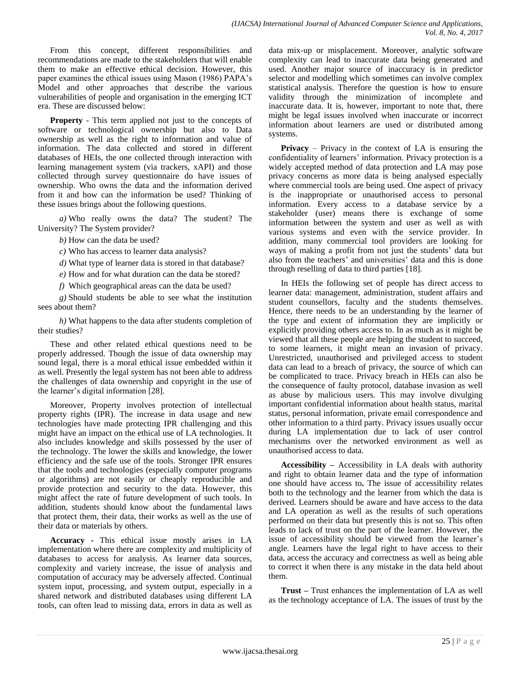From this concept, different responsibilities and recommendations are made to the stakeholders that will enable them to make an effective ethical decision. However, this paper examines the ethical issues using Mason (1986) PAPA"s Model and other approaches that describe the various vulnerabilities of people and organisation in the emerging ICT era. These are discussed below:

**Property** - This term applied not just to the concepts of software or technological ownership but also to Data ownership as well as the right to information and value of information. The data collected and stored in different databases of HEIs, the one collected through interaction with learning management system (via trackers, xAPI) and those collected through survey questionnaire do have issues of ownership. Who owns the data and the information derived from it and how can the information be used? Thinking of these issues brings about the following questions.

*a)* Who really owns the data? The student? The University? The System provider?

*b)* How can the data be used?

*c)* Who has access to learner data analysis?

*d)* What type of learner data is stored in that database?

*e)* How and for what duration can the data be stored?

*f)* Which geographical areas can the data be used?

*g)* Should students be able to see what the institution sees about them?

*h)* What happens to the data after students completion of their studies?

These and other related ethical questions need to be properly addressed. Though the issue of data ownership may sound legal, there is a moral ethical issue embedded within it as well. Presently the legal system has not been able to address the challenges of data ownership and copyright in the use of the learner"s digital information [28].

Moreover, Property involves protection of intellectual property rights (IPR). The increase in data usage and new technologies have made protecting IPR challenging and this might have an impact on the ethical use of LA technologies. It also includes knowledge and skills possessed by the user of the technology. The lower the skills and knowledge, the lower efficiency and the safe use of the tools. Stronger IPR ensures that the tools and technologies (especially computer programs or algorithms) are not easily or cheaply reproducible and provide protection and security to the data. However, this might affect the rate of future development of such tools. In addition, students should know about the fundamental laws that protect them, their data, their works as well as the use of their data or materials by others.

**Accuracy -** This ethical issue mostly arises in LA implementation where there are complexity and multiplicity of databases to access for analysis. As learner data sources, complexity and variety increase, the issue of analysis and computation of accuracy may be adversely affected. Continual system input, processing, and system output, especially in a shared network and distributed databases using different LA tools, can often lead to missing data, errors in data as well as data mix-up or misplacement. Moreover, analytic software complexity can lead to inaccurate data being generated and used. Another major source of inaccuracy is in predictor selector and modelling which sometimes can involve complex statistical analysis. Therefore the question is how to ensure validity through the minimization of incomplete and inaccurate data. It is, however, important to note that, there might be legal issues involved when inaccurate or incorrect information about learners are used or distributed among systems.

**Privacy** – Privacy in the context of LA is ensuring the confidentiality of learners' information. Privacy protection is a widely accepted method of data protection and LA may pose privacy concerns as more data is being analysed especially where commercial tools are being used. One aspect of privacy is the inappropriate or unauthorised access to personal information. Every access to a database service by a stakeholder (user) means there is exchange of some information between the system and user as well as with various systems and even with the service provider. In addition, many commercial tool providers are looking for ways of making a profit from not just the students' data but also from the teachers' and universities' data and this is done through reselling of data to third parties [18].

In HEIs the following set of people has direct access to learner data: management, administration, student affairs and student counsellors, faculty and the students themselves. Hence, there needs to be an understanding by the learner of the type and extent of information they are implicitly or explicitly providing others access to. In as much as it might be viewed that all these people are helping the student to succeed, to some learners, it might mean an invasion of privacy. Unrestricted, unauthorised and privileged access to student data can lead to a breach of privacy, the source of which can be complicated to trace. Privacy breach in HEIs can also be the consequence of faulty protocol, database invasion as well as abuse by malicious users. This may involve divulging important confidential information about health status, marital status, personal information, private email correspondence and other information to a third party. Privacy issues usually occur during LA implementation due to lack of user control mechanisms over the networked environment as well as unauthorised access to data.

**Accessibility –** Accessibility in LA deals with authority and right to obtain learner data and the type of information one should have access to**.** The issue of accessibility relates both to the technology and the learner from which the data is derived. Learners should be aware and have access to the data and LA operation as well as the results of such operations performed on their data but presently this is not so. This often leads to lack of trust on the part of the learner. However, the issue of accessibility should be viewed from the learner's angle. Learners have the legal right to have access to their data, access the accuracy and correctness as well as being able to correct it when there is any mistake in the data held about them.

**Trust –** Trust enhances the implementation of LA as well as the technology acceptance of LA. The issues of trust by the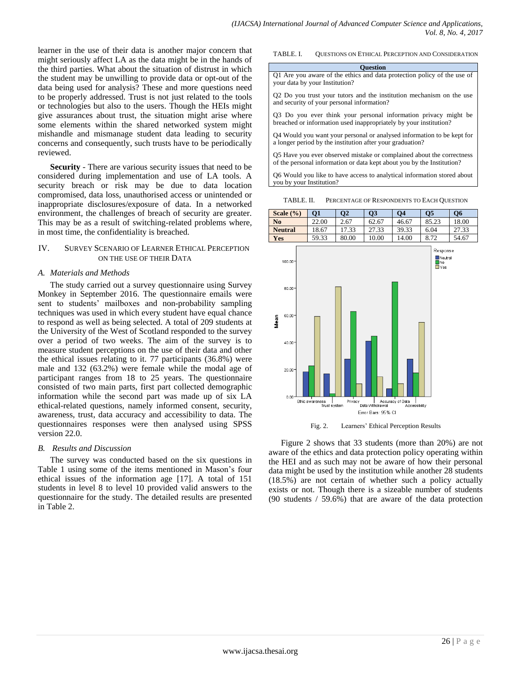learner in the use of their data is another major concern that might seriously affect LA as the data might be in the hands of the third parties. What about the situation of distrust in which the student may be unwilling to provide data or opt-out of the data being used for analysis? These and more questions need to be properly addressed. Trust is not just related to the tools or technologies but also to the users. Though the HEIs might give assurances about trust, the situation might arise where some elements within the shared networked system might mishandle and mismanage student data leading to security concerns and consequently, such trusts have to be periodically reviewed.

**Security** - There are various security issues that need to be considered during implementation and use of LA tools. A security breach or risk may be due to data location compromised, data loss, unauthorised access or unintended or inappropriate disclosures/exposure of data. In a networked environment, the challenges of breach of security are greater. This may be as a result of switching-related problems where, in most time, the confidentiality is breached.

## IV. SURVEY SCENARIO OF LEARNER ETHICAL PERCEPTION ON THE USE OF THEIR DATA

#### *A. Materials and Methods*

The study carried out a survey questionnaire using Survey Monkey in September 2016. The questionnaire emails were sent to students' mailboxes and non-probability sampling techniques was used in which every student have equal chance to respond as well as being selected. A total of 209 students at the University of the West of Scotland responded to the survey over a period of two weeks. The aim of the survey is to measure student perceptions on the use of their data and other the ethical issues relating to it. 77 participants (36.8%) were male and 132 (63.2%) were female while the modal age of participant ranges from 18 to 25 years. The questionnaire consisted of two main parts, first part collected demographic information while the second part was made up of six LA ethical-related questions, namely informed consent, security, awareness, trust, data accuracy and accessibility to data. The questionnaires responses were then analysed using SPSS version 22.0.

#### *B. Results and Discussion*

The survey was conducted based on the six questions in Table 1 using some of the items mentioned in Mason"s four ethical issues of the information age [17]. A total of 151 students in level 8 to level 10 provided valid answers to the questionnaire for the study. The detailed results are presented in Table 2.

TABLE. I. QUESTIONS ON ETHICAL PERCEPTION AND CONSIDERATION

**Question**

Q1 Are you aware of the ethics and data protection policy of the use of your data by your Institution?

Q2 Do you trust your tutors and the institution mechanism on the use and security of your personal information?

Q3 Do you ever think your personal information privacy might be breached or information used inappropriately by your institution?

Q4 Would you want your personal or analysed information to be kept for a longer period by the institution after your graduation?

Q5 Have you ever observed mistake or complained about the correctness of the personal information or data kept about you by the Institution?

Q6 Would you like to have access to analytical information stored about you by your Institution?

TABLE. II. PERCENTAGE OF RESPONDENTS TO EACH QUESTION

| Scale $(\% )$  | Ο1    | $\overline{\text{O2}}$ | <b>O3</b> | Ο4    | Ο5    | <b>O6</b> |
|----------------|-------|------------------------|-----------|-------|-------|-----------|
| N <sub>0</sub> | 22.00 | 2.67                   | 62.67     | 46.67 | 85.23 | 18.00     |
| <b>Neutral</b> | 18.67 | 17.33                  | 27.33     | 39.33 | 6.04  | 27.33     |
| <b>Yes</b>     | 59.33 | 80.00                  | 10.00     | 14.00 | 8.72  | 54.67     |





Figure 2 shows that 33 students (more than 20%) are not aware of the ethics and data protection policy operating within the HEI and as such may not be aware of how their personal data might be used by the institution while another 28 students (18.5%) are not certain of whether such a policy actually exists or not. Though there is a sizeable number of students (90 students / 59.6%) that are aware of the data protection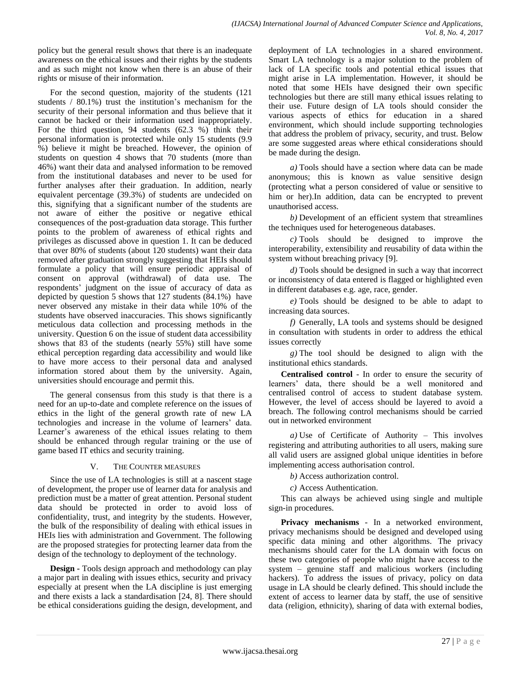policy but the general result shows that there is an inadequate awareness on the ethical issues and their rights by the students and as such might not know when there is an abuse of their rights or misuse of their information.

For the second question, majority of the students (121 students / 80.1%) trust the institution"s mechanism for the security of their personal information and thus believe that it cannot be hacked or their information used inappropriately. For the third question, 94 students (62.3 %) think their personal information is protected while only 15 students (9.9 %) believe it might be breached. However, the opinion of students on question 4 shows that 70 students (more than 46%) want their data and analysed information to be removed from the institutional databases and never to be used for further analyses after their graduation. In addition, nearly equivalent percentage (39.3%) of students are undecided on this, signifying that a significant number of the students are not aware of either the positive or negative ethical consequences of the post-graduation data storage. This further points to the problem of awareness of ethical rights and privileges as discussed above in question 1. It can be deduced that over 80% of students (about 120 students) want their data removed after graduation strongly suggesting that HEIs should formulate a policy that will ensure periodic appraisal of consent on approval (withdrawal) of data use. The respondents' judgment on the issue of accuracy of data as depicted by question 5 shows that 127 students (84.1%) have never observed any mistake in their data while 10% of the students have observed inaccuracies. This shows significantly meticulous data collection and processing methods in the university. Question 6 on the issue of student data accessibility shows that 83 of the students (nearly 55%) still have some ethical perception regarding data accessibility and would like to have more access to their personal data and analysed information stored about them by the university. Again, universities should encourage and permit this.

The general consensus from this study is that there is a need for an up-to-date and complete reference on the issues of ethics in the light of the general growth rate of new LA technologies and increase in the volume of learners' data. Learner's awareness of the ethical issues relating to them should be enhanced through regular training or the use of game based IT ethics and security training.

# V. THE COUNTER MEASURES

Since the use of LA technologies is still at a nascent stage of development, the proper use of learner data for analysis and prediction must be a matter of great attention. Personal student data should be protected in order to avoid loss of confidentiality, trust, and integrity by the students. However, the bulk of the responsibility of dealing with ethical issues in HEIs lies with administration and Government. The following are the proposed strategies for protecting learner data from the design of the technology to deployment of the technology.

**Design -** Tools design approach and methodology can play a major part in dealing with issues ethics, security and privacy especially at present when the LA discipline is just emerging and there exists a lack a standardisation [24, 8]. There should be ethical considerations guiding the design, development, and deployment of LA technologies in a shared environment. Smart LA technology is a major solution to the problem of lack of LA specific tools and potential ethical issues that might arise in LA implementation. However, it should be noted that some HEIs have designed their own specific technologies but there are still many ethical issues relating to their use. Future design of LA tools should consider the various aspects of ethics for education in a shared environment, which should include supporting technologies that address the problem of privacy, security, and trust. Below are some suggested areas where ethical considerations should be made during the design.

*a)* Tools should have a section where data can be made anonymous; this is known as value sensitive design (protecting what a person considered of value or sensitive to him or her).In addition, data can be encrypted to prevent unauthorised access.

*b)* Development of an efficient system that streamlines the techniques used for heterogeneous databases.

*c)* Tools should be designed to improve the interoperability, extensibility and reusability of data within the system without breaching privacy [9].

*d)* Tools should be designed in such a way that incorrect or inconsistency of data entered is flagged or highlighted even in different databases e.g. age, race, gender.

*e)* Tools should be designed to be able to adapt to increasing data sources.

*f)* Generally, LA tools and systems should be designed in consultation with students in order to address the ethical issues correctly

*g)* The tool should be designed to align with the institutional ethics standards.

**Centralised control** - In order to ensure the security of learners" data, there should be a well monitored and centralised control of access to student database system. However, the level of access should be layered to avoid a breach. The following control mechanisms should be carried out in networked environment

*a)* Use of Certificate of Authority – This involves registering and attributing authorities to all users, making sure all valid users are assigned global unique identities in before implementing access authorisation control.

*b)* Access authorization control.

*c)* Access Authentication.

This can always be achieved using single and multiple sign-in procedures.

**Privacy mechanisms** - In a networked environment, privacy mechanisms should be designed and developed using specific data mining and other algorithms. The privacy mechanisms should cater for the LA domain with focus on these two categories of people who might have access to the system – genuine staff and malicious workers (including hackers). To address the issues of privacy, policy on data usage in LA should be clearly defined. This should include the extent of access to learner data by staff, the use of sensitive data (religion, ethnicity), sharing of data with external bodies,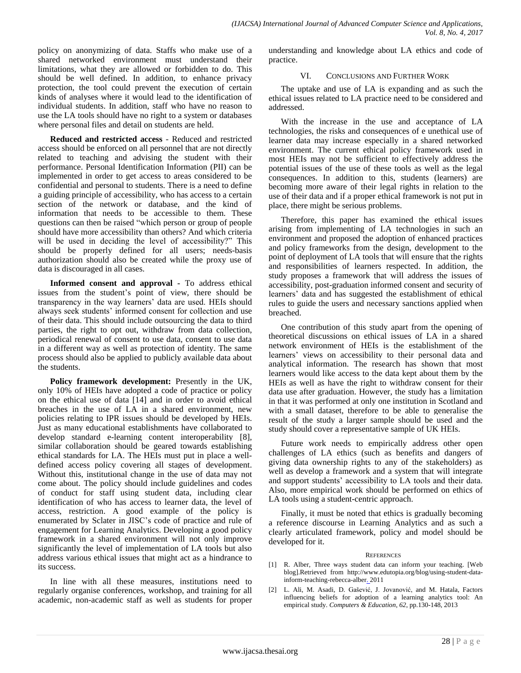policy on anonymizing of data. Staffs who make use of a shared networked environment must understand their limitations, what they are allowed or forbidden to do. This should be well defined. In addition, to enhance privacy protection, the tool could prevent the execution of certain kinds of analyses where it would lead to the identification of individual students. In addition, staff who have no reason to use the LA tools should have no right to a system or databases where personal files and detail on students are held.

**Reduced and restricted access** - Reduced and restricted access should be enforced on all personnel that are not directly related to teaching and advising the student with their performance. Personal Identification Information (PII) can be implemented in order to get access to areas considered to be confidential and personal to students. There is a need to define a guiding principle of accessibility, who has access to a certain section of the network or database, and the kind of information that needs to be accessible to them. These questions can then be raised "which person or group of people should have more accessibility than others? And which criteria will be used in deciding the level of accessibility?" This should be properly defined for all users; needs-basis authorization should also be created while the proxy use of data is discouraged in all cases.

**Informed consent and approval -** To address ethical issues from the student"s point of view, there should be transparency in the way learners" data are used. HEIs should always seek students' informed consent for collection and use of their data. This should include outsourcing the data to third parties, the right to opt out, withdraw from data collection, periodical renewal of consent to use data, consent to use data in a different way as well as protection of identity. The same process should also be applied to publicly available data about the students.

**Policy framework development:** Presently in the UK, only 10% of HEIs have adopted a code of practice or policy on the ethical use of data [14] and in order to avoid ethical breaches in the use of LA in a shared environment, new policies relating to IPR issues should be developed by HEIs. Just as many educational establishments have collaborated to develop standard e-learning content interoperability [8], similar collaboration should be geared towards establishing ethical standards for LA. The HEIs must put in place a welldefined access policy covering all stages of development. Without this, institutional change in the use of data may not come about. The policy should include guidelines and codes of conduct for staff using student data, including clear identification of who has access to learner data, the level of access, restriction. A good example of the policy is enumerated by Sclater in JISC"s code of practice and rule of engagement for Learning Analytics. Developing a good policy framework in a shared environment will not only improve significantly the level of implementation of LA tools but also address various ethical issues that might act as a hindrance to its success.

In line with all these measures, institutions need to regularly organise conferences, workshop, and training for all academic, non-academic staff as well as students for proper understanding and knowledge about LA ethics and code of practice.

# VI. CONCLUSIONS AND FURTHER WORK

The uptake and use of LA is expanding and as such the ethical issues related to LA practice need to be considered and addressed.

With the increase in the use and acceptance of LA technologies, the risks and consequences of e unethical use of learner data may increase especially in a shared networked environment. The current ethical policy framework used in most HEIs may not be sufficient to effectively address the potential issues of the use of these tools as well as the legal consequences. In addition to this, students (learners) are becoming more aware of their legal rights in relation to the use of their data and if a proper ethical framework is not put in place, there might be serious problems.

Therefore, this paper has examined the ethical issues arising from implementing of LA technologies in such an environment and proposed the adoption of enhanced practices and policy frameworks from the design, development to the point of deployment of LA tools that will ensure that the rights and responsibilities of learners respected. In addition, the study proposes a framework that will address the issues of accessibility, post-graduation informed consent and security of learners" data and has suggested the establishment of ethical rules to guide the users and necessary sanctions applied when breached.

One contribution of this study apart from the opening of theoretical discussions on ethical issues of LA in a shared network environment of HEIs is the establishment of the learners' views on accessibility to their personal data and analytical information. The research has shown that most learners would like access to the data kept about them by the HEIs as well as have the right to withdraw consent for their data use after graduation. However, the study has a limitation in that it was performed at only one institution in Scotland and with a small dataset, therefore to be able to generalise the result of the study a larger sample should be used and the study should cover a representative sample of UK HEIs.

Future work needs to empirically address other open challenges of LA ethics (such as benefits and dangers of giving data ownership rights to any of the stakeholders) as well as develop a framework and a system that will integrate and support students' accessibility to LA tools and their data. Also, more empirical work should be performed on ethics of LA tools using a student-centric approach.

Finally, it must be noted that ethics is gradually becoming a reference discourse in Learning Analytics and as such a clearly articulated framework, policy and model should be developed for it.

## **REFERENCES**

- [1] R. Alber, Three ways student data can inform your teaching. [Web blog].Retrieved from http://www.edutopia.org/blog/using-student-datainform-teaching-rebecca-alber. 2011
- [2] L. Ali, M. Asadi, D. Gašević, J. Jovanović, and M. Hatala, Factors influencing beliefs for adoption of a learning analytics tool: An empirical study. *Computers & Education*, *62*, pp.130-148, 2013